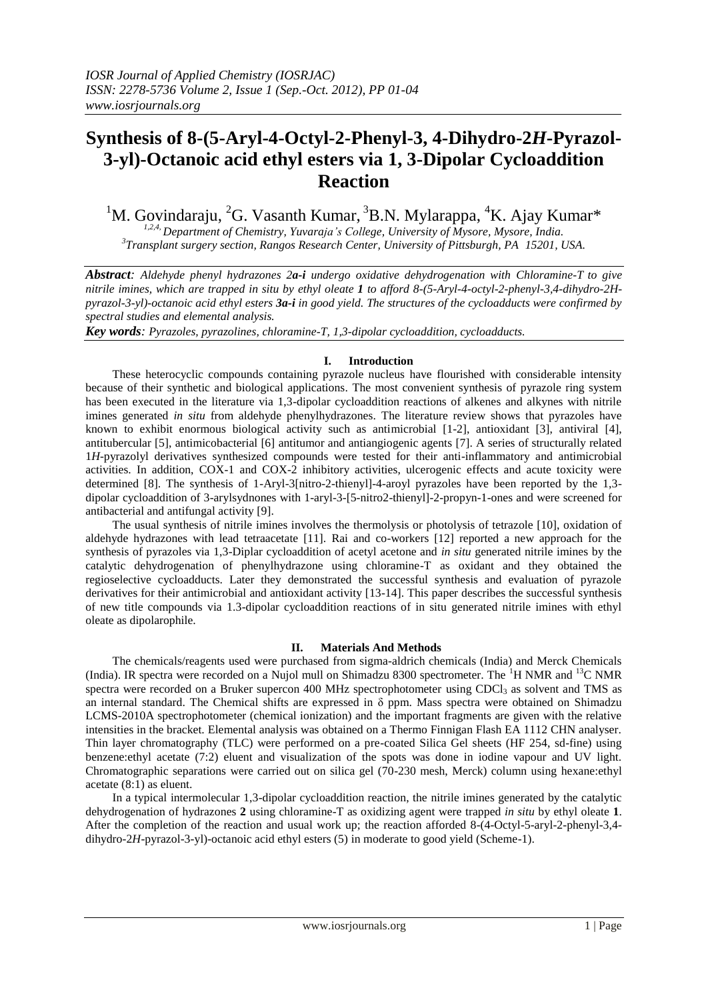# **Synthesis of 8-(5-Aryl-4-Octyl-2-Phenyl-3, 4-Dihydro-2***H***-Pyrazol-3-yl)-Octanoic acid ethyl esters via 1, 3-Dipolar Cycloaddition Reaction**

## <sup>1</sup>M. Govindaraju, <sup>2</sup>G. Vasanth Kumar, <sup>3</sup>B.N. Mylarappa, <sup>4</sup>K. Ajay Kumar<sup>\*</sup>

*1,2,4, Department of Chemistry, Yuvaraja's College, University of Mysore, Mysore, India. 3 Transplant surgery section, Rangos Research Center, University of Pittsburgh, PA 15201, USA.*

*Abstract: Aldehyde phenyl hydrazones 2a-i undergo oxidative dehydrogenation with Chloramine-T to give nitrile imines, which are trapped in situ by ethyl oleate 1 to afford 8-(5-Aryl-4-octyl-2-phenyl-3,4-dihydro-2Hpyrazol-3-yl)-octanoic acid ethyl esters 3a-i in good yield. The structures of the cycloadducts were confirmed by spectral studies and elemental analysis.*

*Key words: Pyrazoles, pyrazolines, chloramine-T, 1,3-dipolar cycloaddition, cycloadducts.*

### **I. Introduction**

These heterocyclic compounds containing pyrazole nucleus have flourished with considerable intensity because of their synthetic and biological applications. The most convenient synthesis of pyrazole ring system has been executed in the literature via 1,3-dipolar cycloaddition reactions of alkenes and alkynes with nitrile imines generated *in situ* from aldehyde phenylhydrazones. The literature review shows that pyrazoles have known to exhibit enormous biological activity such as antimicrobial [1-2], antioxidant [3], antiviral [4], antitubercular [5], antimicobacterial [6] antitumor and antiangiogenic agents [7]. A series of structurally related 1*H*-pyrazolyl derivatives synthesized compounds were tested for their anti-inflammatory and antimicrobial activities. In addition, COX-1 and COX-2 inhibitory activities, ulcerogenic effects and acute toxicity were determined [8]. The synthesis of 1-Aryl-3[nitro-2-thienyl]-4-aroyl pyrazoles have been reported by the 1,3 dipolar cycloaddition of 3-arylsydnones with 1-aryl-3-[5-nitro2-thienyl]-2-propyn-1-ones and were screened for antibacterial and antifungal activity [9].

The usual synthesis of nitrile imines involves the thermolysis or photolysis of tetrazole [10], oxidation of aldehyde hydrazones with lead tetraacetate [11]. Rai and co-workers [12] reported a new approach for the synthesis of pyrazoles via 1,3-Diplar cycloaddition of acetyl acetone and *in situ* generated nitrile imines by the catalytic dehydrogenation of phenylhydrazone using chloramine-T as oxidant and they obtained the regioselective cycloadducts. Later they demonstrated the successful synthesis and evaluation of pyrazole derivatives for their antimicrobial and antioxidant activity [13-14]. This paper describes the successful synthesis of new title compounds via 1.3-dipolar cycloaddition reactions of in situ generated nitrile imines with ethyl oleate as dipolarophile.

#### **II. Materials And Methods**

The chemicals/reagents used were purchased from sigma-aldrich chemicals (India) and Merck Chemicals (India). IR spectra were recorded on a Nujol mull on Shimadzu 8300 spectrometer. The <sup>1</sup>H NMR and <sup>13</sup>C NMR spectra were recorded on a Bruker supercon 400 MHz spectrophotometer using CDCl<sub>3</sub> as solvent and TMS as an internal standard. The Chemical shifts are expressed in  $\delta$  ppm. Mass spectra were obtained on Shimadzu LCMS-2010A spectrophotometer (chemical ionization) and the important fragments are given with the relative intensities in the bracket. Elemental analysis was obtained on a Thermo Finnigan Flash EA 1112 CHN analyser. Thin layer chromatography (TLC) were performed on a pre-coated Silica Gel sheets (HF 254, sd-fine) using benzene:ethyl acetate (7:2) eluent and visualization of the spots was done in iodine vapour and UV light. Chromatographic separations were carried out on silica gel (70-230 mesh, Merck) column using hexane:ethyl acetate (8:1) as eluent.

In a typical intermolecular 1,3-dipolar cycloaddition reaction, the nitrile imines generated by the catalytic dehydrogenation of hydrazones **2** using chloramine-T as oxidizing agent were trapped *in situ* by ethyl oleate **1**. After the completion of the reaction and usual work up; the reaction afforded 8-(4-Octyl-5-aryl-2-phenyl-3,4 dihydro-2*H*-pyrazol-3-yl)-octanoic acid ethyl esters (5) in moderate to good yield (Scheme-1).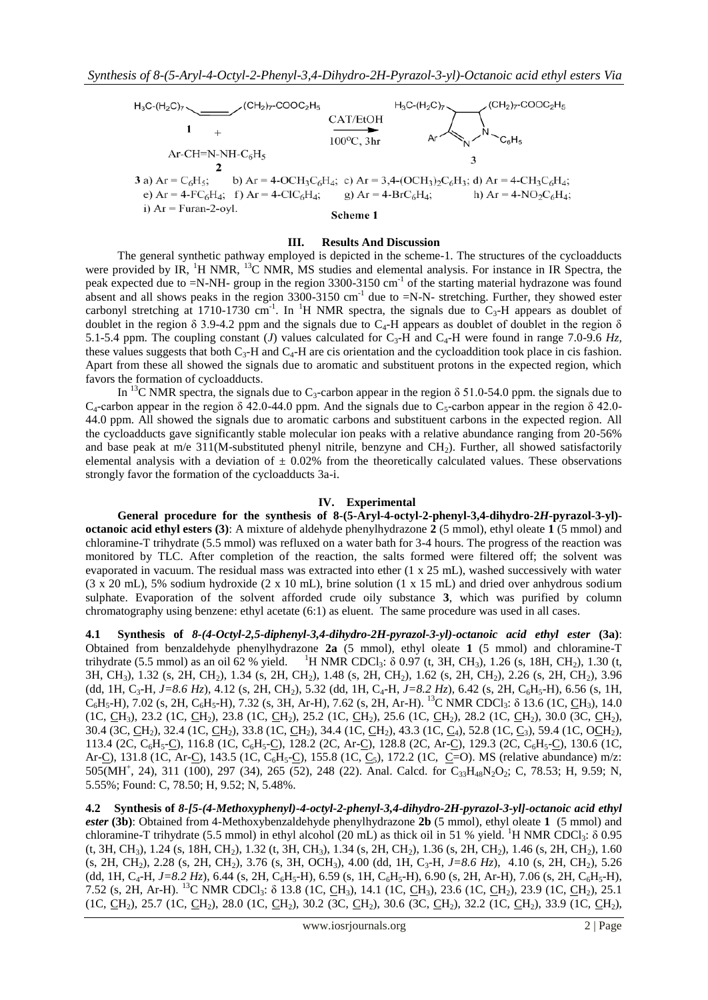

#### **III. Results And Discussion**

The general synthetic pathway employed is depicted in the scheme-1. The structures of the cycloadducts were provided by IR,  $H NMR$ ,  $^{13}C NMR$ , MS studies and elemental analysis. For instance in IR Spectra, the peak expected due to =N-NH- group in the region 3300-3150 cm<sup>-1</sup> of the starting material hydrazone was found absent and all shows peaks in the region  $3300-3150$  cm<sup>-1</sup> due to  $=N-N$ - stretching. Further, they showed ester carbonyl stretching at 1710-1730 cm<sup>-1</sup>. In <sup>1</sup>H NMR spectra, the signals due to  $C_3$ -H appears as doublet of doublet in the region  $\delta$  3.9-4.2 ppm and the signals due to C<sub>4</sub>-H appears as doublet of doublet in the region  $\delta$ 5.1-5.4 ppm. The coupling constant (*J*) values calculated for  $C_3$ -H and  $C_4$ -H were found in range 7.0-9.6  $H_z$ , these values suggests that both  $C_3$ -H and  $C_4$ -H are cis orientation and the cycloaddition took place in cis fashion. Apart from these all showed the signals due to aromatic and substituent protons in the expected region, which favors the formation of cycloadducts.

In <sup>13</sup>C NMR spectra, the signals due to C<sub>3</sub>-carbon appear in the region  $\delta$  51.0-54.0 ppm. the signals due to  $C_4$ -carbon appear in the region  $\delta$  42.0-44.0 ppm. And the signals due to  $C_5$ -carbon appear in the region  $\delta$  42.0-44.0 ppm. All showed the signals due to aromatic carbons and substituent carbons in the expected region. All the cycloadducts gave significantly stable molecular ion peaks with a relative abundance ranging from 20-56% and base peak at m/e  $311(M\text{-substituted phenyl nitrile},$  benzyne and  $CH<sub>2</sub>$ ). Further, all showed satisfactorily elemental analysis with a deviation of  $\pm$  0.02% from the theoretically calculated values. These observations strongly favor the formation of the cycloadducts 3a-i.

#### **IV. Experimental**

**General procedure for the synthesis of 8-(5-Aryl-4-octyl-2-phenyl-3,4-dihydro-2***H***-pyrazol-3-yl) octanoic acid ethyl esters (3)**: A mixture of aldehyde phenylhydrazone **2** (5 mmol), ethyl oleate **1** (5 mmol) and chloramine-T trihydrate (5.5 mmol) was refluxed on a water bath for 3-4 hours. The progress of the reaction was monitored by TLC. After completion of the reaction, the salts formed were filtered off; the solvent was evaporated in vacuum. The residual mass was extracted into ether (1 x 25 mL), washed successively with water (3 x 20 mL), 5% sodium hydroxide (2 x 10 mL), brine solution (1 x 15 mL) and dried over anhydrous sodium sulphate. Evaporation of the solvent afforded crude oily substance **3**, which was purified by column chromatography using benzene: ethyl acetate (6:1) as eluent. The same procedure was used in all cases.

**4.1 Synthesis of** *8-(4-Octyl-2,5-diphenyl-3,4-dihydro-2H-pyrazol-3-yl)-octanoic acid ethyl ester* **(3a)**: Obtained from benzaldehyde phenylhydrazone **2a** (5 mmol), ethyl oleate **1** (5 mmol) and chloramine-T trihydrate (5.5 mmol) as an oil 62 % yield. <sup>1</sup>H NMR CDCl<sub>3</sub>:  $\delta$  0.97 (t, 3H, CH<sub>3</sub>), 1.26 (s, 18H, CH<sub>2</sub>), 1.30 (t, 3H, CH3), 1.32 (s, 2H, CH2), 1.34 (s, 2H, CH2), 1.48 (s, 2H, CH2), 1.62 (s, 2H, CH2), 2.26 (s, 2H, CH2), 3.96 (dd, 1H, C<sub>3</sub>-H, J=8.6 Hz), 4.12 (s, 2H, CH<sub>2</sub>), 5.32 (dd, 1H, C<sub>4</sub>-H, J=8.2 Hz), 6.42 (s, 2H, C<sub>6</sub>H<sub>5</sub>-H), 6.56 (s, 1H,  $C_6H_5-H$ ), 7.02 (s, 2H,  $C_6H_5-H$ ), 7.32 (s, 3H, Ar-H), 7.62 (s, 2H, Ar-H). <sup>13</sup>C NMR CDCl<sub>3</sub>: δ 13.6 (1C, CH<sub>3</sub>), 14.0 (1C, CH<sub>3</sub>), 23.2 (1C, CH<sub>2</sub>), 23.8 (1C, CH<sub>2</sub>), 25.2 (1C, CH<sub>2</sub>), 25.6 (1C, CH<sub>2</sub>), 28.2 (1C, CH<sub>2</sub>), 30.0 (3C, CH<sub>2</sub>), 30.4 (3C, CH2), 32.4 (1C, CH2), 33.8 (1C, CH2), 34.4 (1C, CH2), 43.3 (1C, C4), 52.8 (1C, C3), 59.4 (1C, OCH2), 113.4 (2C, C<sub>6</sub>H<sub>5</sub>-<u>C</u>), 116.8 (1C, C<sub>6</sub>H<sub>5</sub>-C), 128.2 (2C, Ar-C), 128.8 (2C, Ar-C), 129.3 (2C, C<sub>6</sub>H<sub>5</sub>-C), 130.6 (1C, Ar-C), 131.8 (1C, Ar-C), 143.5 (1C, C<sub>6</sub>H<sub>5</sub>-C), 155.8 (1C, C<sub>5</sub>), 172.2 (1C, C=O). MS (relative abundance) m/z: 505(MH<sup>+</sup>, 24), 311 (100), 297 (34), 265 (52), 248 (22). Anal. Calcd. for C<sub>33</sub>H<sub>48</sub>N<sub>2</sub>O<sub>2</sub>; C, 78.53; H, 9.59; N, 5.55%; Found: C, 78.50; H, 9.52; N, 5.48%.

**4.2 Synthesis of** *8-[5-(4-Methoxyphenyl)-4-octyl-2-phenyl-3,4-dihydro-2H-pyrazol-3-yl]-octanoic acid ethyl ester* **(3b)**: Obtained from 4-Methoxybenzaldehyde phenylhydrazone **2b** (5 mmol), ethyl oleate **1** (5 mmol) and chloramine-T trihydrate (5.5 mmol) in ethyl alcohol (20 mL) as thick oil in 51 % yield. <sup>1</sup>H NMR CDCl<sub>3</sub>: δ 0.95 (t, 3H, CH3), 1.24 (s, 18H, CH2), 1.32 (t, 3H, CH3), 1.34 (s, 2H, CH2), 1.36 (s, 2H, CH2), 1.46 (s, 2H, CH2), 1.60 (s, 2H, CH2), 2.28 (s, 2H, CH2), 3.76 (s, 3H, OCH3), 4.00 (dd, 1H, C3-H, *J=8.6 Hz*), 4.10 (s, 2H, CH2), 5.26 (dd, 1H, C<sub>4</sub>-H, J=8.2 Hz), 6.44 (s, 2H, C<sub>6</sub>H<sub>5</sub>-H), 6.59 (s, 1H, C<sub>6</sub>H<sub>5</sub>-H), 6.90 (s, 2H, Ar-H), 7.06 (s, 2H, C<sub>6</sub>H<sub>5</sub>-H), 7.52 (s, 2H, Ar-H). <sup>13</sup>C NMR CDCl<sub>3</sub>: δ 13.8 (1C, <u>C</u>H<sub>3</sub>), 14.1 (1C, <u>C</u>H<sub>3</sub>), 23.6 (1C, <u>C</u>H<sub>2</sub>), 23.9 (1C, <u>C</u>H<sub>2</sub>), 25.1 (1C, CH<sub>2</sub>), 25.7 (1C, CH<sub>2</sub>), 28.0 (1C, CH<sub>2</sub>), 30.2 (3C, CH<sub>2</sub>), 30.6 (3C, CH<sub>2</sub>), 32.2 (1C, CH<sub>2</sub>), 33.9 (1C, CH<sub>2</sub>),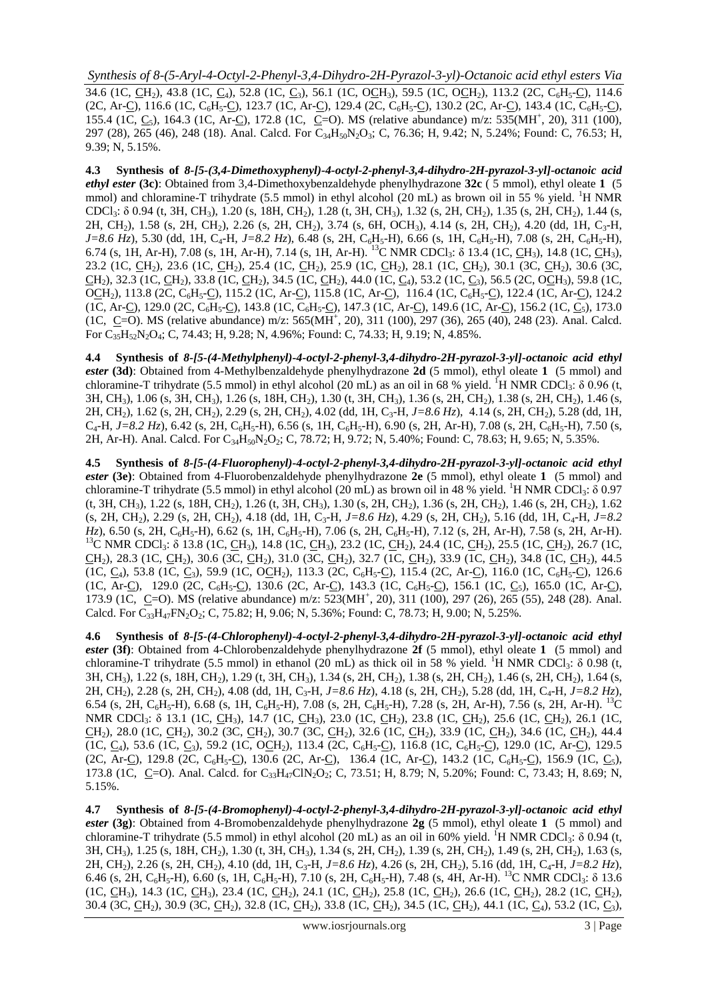34.6 (1C, CH<sub>2</sub>), 43.8 (1C, C<sub>4</sub>), 52.8 (1C, C<sub>3</sub>), 56.1 (1C, OCH<sub>3</sub>), 59.5 (1C, OCH<sub>2</sub>), 113.2 (2C, C<sub>6</sub>H<sub>5</sub>-C), 114.6 (2C, Ar-C), 116.6 (1C, C<sub>6</sub>H<sub>5</sub>-C), 123.7 (1C, Ar-C), 129.4 (2C, C<sub>6</sub>H<sub>5</sub>-C), 130.2 (2C, Ar-C), 143.4 (1C, C<sub>6</sub>H<sub>5</sub>-C), 155.4 (1C, C<sub>5</sub>), 164.3 (1C, Ar-C<sub>1</sub>), 172.8 (1C, C=O). MS (relative abundance) m/z: 535(MH<sup>+</sup>, 20), 311 (100), 297 (28), 265 (46), 248 (18). Anal. Calcd. For C<sub>34</sub>H<sub>50</sub>N<sub>2</sub>O<sub>3</sub>; C, 76.36; H, 9.42; N, 5.24%; Found: C, 76.53; H, 9.39; N, 5.15%.

**4.3 Synthesis of** *8-[5-(3,4-Dimethoxyphenyl)-4-octyl-2-phenyl-3,4-dihydro-2H-pyrazol-3-yl]-octanoic acid ethyl ester* **(3c)**: Obtained from 3,4-Dimethoxybenzaldehyde phenylhydrazone **32c** ( 5 mmol), ethyl oleate **1** (5 mmol) and chloramine-T trihydrate (5.5 mmol) in ethyl alcohol (20 mL) as brown oil in 55 % yield. <sup>1</sup>H NMR CDCl<sub>3</sub>: δ 0.94 (t, 3H, CH<sub>3</sub>), 1.20 (s, 18H, CH<sub>2</sub>), 1.28 (t, 3H, CH<sub>3</sub>), 1.32 (s, 2H, CH<sub>2</sub>), 1.35 (s, 2H, CH<sub>2</sub>), 1.44 (s, 2H, CH<sub>2</sub>), 1.58 (s, 2H, CH<sub>2</sub>), 2.26 (s, 2H, CH<sub>2</sub>), 3.74 (s, 6H, OCH<sub>3</sub>), 4.14 (s, 2H, CH<sub>2</sub>), 4.20 (dd, 1H, C<sub>3</sub>-H, *J*=8.6 Hz), 5.30 (dd, 1H, C<sub>4</sub>-H, *J*=8.2 Hz), 6.48 (s, 2H, C<sub>6</sub>H<sub>5</sub>-H), 6.66 (s, 1H, C<sub>6</sub>H<sub>5</sub>-H), 7.08 (s, 2H, C<sub>6</sub>H<sub>5</sub>-H), 6.74 (s, 1H, Ar-H), 7.08 (s, 1H, Ar-H), 7.14 (s, 1H, Ar-H). <sup>13</sup>C NMR CDCl<sub>3</sub>: δ 13.4 (1C, <u>C</u>H<sub>3</sub>), 14.8 (1C, <u>C</u>H<sub>3</sub>), 23.2 (1C, <u>C</u>H<sub>2</sub>), 23.6 (1C, <u>C</u>H<sub>2</sub>), 25.4 (1C, <u>C</u>H<sub>2</sub>), 25.9 (1C, <u>C</u>H<sub>2</sub>), 28.1 (1C, <u>C</u>H<sub>2</sub>), 30.1 (3C, <u>C</u>H<sub>2</sub>), 30.6 (3C,  $\underline{CH}_2$ ), 32.3 (1C,  $\underline{CH}_2$ ), 33.8 (1C,  $\underline{CH}_2$ ), 34.5 (1C,  $\underline{CH}_2$ ), 44.0 (1C,  $\underline{C}_4$ ), 53.2 (1C,  $\underline{C}_3$ ), 56.5 (2C, O $\underline{CH}_3$ ), 59.8 (1C, OCH<sub>2</sub>), 113.8 (2C, C<sub>6</sub>H<sub>5</sub>-C), 115.2 (1C, Ar-C), 115.8 (1C, Ar-C), 116.4 (1C, C<sub>6</sub>H<sub>5</sub>-C), 122.4 (1C, Ar-C), 124.2 (1C, Ar-C), 129.0 (2C, C<sub>6</sub>H<sub>5</sub>-C), 143.8 (1C, C<sub>6</sub>H<sub>5</sub>-C), 147.3 (1C, Ar-C), 149.6 (1C, Ar-C), 156.2 (1C, C<sub>5</sub>), 173.0 (1C, C=O). MS (relative abundance) m/z: 565(MH<sup>+</sup>, 20), 311 (100), 297 (36), 265 (40), 248 (23). Anal. Calcd. For  $C_{35}H_{52}N_2O_4$ ; C, 74.43; H, 9.28; N, 4.96%; Found: C, 74.33; H, 9.19; N, 4.85%.

**4.4 Synthesis of** *8-[5-(4-Methylphenyl)-4-octyl-2-phenyl-3,4-dihydro-2H-pyrazol-3-yl]-octanoic acid ethyl ester* **(3d)**: Obtained from 4-Methylbenzaldehyde phenylhydrazone **2d** (5 mmol), ethyl oleate **1** (5 mmol) and chloramine-T trihydrate (5.5 mmol) in ethyl alcohol (20 mL) as an oil in 68 % yield. <sup>1</sup>H NMR CDCl<sub>3</sub>:  $\delta$  0.96 (t, 3H, CH3), 1.06 (s, 3H, CH3), 1.26 (s, 18H, CH2), 1.30 (t, 3H, CH3), 1.36 (s, 2H, CH2), 1.38 (s, 2H, CH2), 1.46 (s, 2H, CH2), 1.62 (s, 2H, CH2), 2.29 (s, 2H, CH2), 4.02 (dd, 1H, C3-H, *J=8.6 Hz*), 4.14 (s, 2H, CH2), 5.28 (dd, 1H,  $C_4$ -H, *J*=8.2 Hz), 6.42 (s, 2H, C<sub>6</sub>H<sub>5</sub>-H), 6.56 (s, 1H, C<sub>6</sub>H<sub>5</sub>-H), 6.90 (s, 2H, Ar-H), 7.08 (s, 2H, C<sub>6</sub>H<sub>5</sub>-H), 7.50 (s, 2H, Ar-H). Anal. Calcd. For C<sub>34</sub>H<sub>50</sub>N<sub>2</sub>O<sub>2</sub>; C, 78.72; H, 9.72; N, 5.40%; Found: C, 78.63; H, 9.65; N, 5.35%.

**4.5 Synthesis of** *8-[5-(4-Fluorophenyl)-4-octyl-2-phenyl-3,4-dihydro-2H-pyrazol-3-yl]-octanoic acid ethyl ester* **(3e)**: Obtained from 4-Fluorobenzaldehyde phenylhydrazone **2e** (5 mmol), ethyl oleate **1** (5 mmol) and chloramine-T trihydrate (5.5 mmol) in ethyl alcohol (20 mL) as brown oil in 48 % yield. <sup>1</sup>H NMR CDCl<sub>3</sub>:  $\delta$  0.97 (t, 3H, CH3), 1.22 (s, 18H, CH2), 1.26 (t, 3H, CH3), 1.30 (s, 2H, CH2), 1.36 (s, 2H, CH2), 1.46 (s, 2H, CH2), 1.62 (s, 2H, CH2), 2.29 (s, 2H, CH2), 4.18 (dd, 1H, C3-H, *J=8.6 Hz*), 4.29 (s, 2H, CH2), 5.16 (dd, 1H, C4-H, *J=8.2 Hz*), 6.50 (s, 2H, C<sub>6</sub>H<sub>5</sub>-H), 6.62 (s, 1H, C<sub>6</sub>H<sub>5</sub>-H), 7.06 (s, 2H, C<sub>6</sub>H<sub>5</sub>-H), 7.12 (s, 2H, Ar-H), 7.58 (s, 2H, Ar-H). <sup>13</sup>C NMR CDCl<sub>3</sub>: δ 13.8 (1C, <u>CH<sub>3</sub>), 14.8 (1C, CH<sub>3</sub>), 23.2 (1C, CH<sub>2</sub>), 24.4 (1C, CH<sub>2</sub>), 25.5 (1C, CH<sub>2</sub>), 26.7 (1C,</u> CH2), 28.3 (1C, CH2), 30.6 (3C, CH2), 31.0 (3C, CH2), 32.7 (1C, CH2), 33.9 (1C, CH2), 34.8 (1C, CH2), 44.5  $(1C, C_4)$ , 53.8  $(1C, C_3)$ , 59.9  $(1C, OCH_2)$ , 113.3  $(2C, C_6H_5-C)$ , 115.4  $(2C, Ar-C)$ , 116.0  $(1C, C_6H_5-C)$ , 126.6 (1C, Ar-C), 129.0 (2C, C<sub>6</sub>H<sub>5</sub>-C), 130.6 (2C, Ar-C), 143.3 (1C, C<sub>6</sub>H<sub>5</sub>-C), 156.1 (1C, C<sub>5</sub>), 165.0 (1C, Ar-C), 173.9 (1C, C=O). MS (relative abundance) m/z: 523(MH<sup>+</sup>, 20), 311 (100), 297 (26), 265 (55), 248 (28). Anal. Calcd. For  $C_{33}H_{47}FN_2O_2$ ; C, 75.82; H, 9.06; N, 5.36%; Found: C, 78.73; H, 9.00; N, 5.25%.

**4.6 Synthesis of** *8-[5-(4-Chlorophenyl)-4-octyl-2-phenyl-3,4-dihydro-2H-pyrazol-3-yl]-octanoic acid ethyl ester* **(3f)**: Obtained from 4-Chlorobenzaldehyde phenylhydrazone **2f** (5 mmol), ethyl oleate **1** (5 mmol) and chloramine-T trihydrate (5.5 mmol) in ethanol (20 mL) as thick oil in 58 % yield. <sup>1</sup>H NMR CDCl<sub>3</sub>:  $\delta$  0.98 (t, 3H, CH<sub>3</sub>), 1.22 (s, 18H, CH<sub>2</sub>), 1.29 (t, 3H, CH<sub>3</sub>), 1.34 (s, 2H, CH<sub>2</sub>), 1.38 (s, 2H, CH<sub>2</sub>), 1.46 (s, 2H, CH<sub>2</sub>), 1.64 (s, 2H, CH2), 2.28 (s, 2H, CH2), 4.08 (dd, 1H, C3-H*, J=8.6 Hz*), 4.18 (s, 2H, CH2), 5.28 (dd, 1H, C4-H, *J=8.2 Hz*), 6.54 (s, 2H, C<sub>6</sub>H<sub>5</sub>-H), 6.68 (s, 1H, C<sub>6</sub>H<sub>5</sub>-H), 7.08 (s, 2H, C<sub>6</sub>H<sub>5</sub>-H), 7.28 (s, 2H, Ar-H), 7.56 (s, 2H, Ar-H). <sup>13</sup>C NMR CDCl<sub>3</sub>: δ 13.1 (1C, <u>CH<sub>3</sub>), 14.7 (1C, CH<sub>3</sub>), 23.0</u> (1C, CH<sub>2</sub>), 23.8 (1C, CH<sub>2</sub>), 25.6 (1C, CH<sub>2</sub>), 26.1 (1C, CH<sub>2</sub>), 28.0 (1C, CH<sub>2</sub>), 30.2 (3C, CH<sub>2</sub>), 30.7 (3C, CH<sub>2</sub>), 32.6 (1C, CH<sub>2</sub>), 33.9 (1C, CH<sub>2</sub>), 34.6 (1C, CH<sub>2</sub>), 44.4 (1C,  $C_4$ ), 53.6 (1C,  $C_3$ ), 59.2 (1C, OCH<sub>2</sub>), 113.4 (2C, C<sub>6</sub>H<sub>5</sub>-C), 116.8 (1C, C<sub>6</sub>H<sub>5</sub>-C), 129.0 (1C, Ar-C), 129.5 (2C, Ar-C), 129.8 (2C, C<sub>6</sub>H<sub>5</sub>-C), 130.6 (2C, Ar-C), 136.4 (1C, Ar-C), 143.2 (1C, C<sub>6</sub>H<sub>5</sub>-C), 156.9 (1C, C<sub>5</sub>), 173.8 (1C, C=O). Anal. Calcd. for  $C_{33}H_{47}CIN_2O_2$ ; C, 73.51; H, 8.79; N, 5.20%; Found: C, 73.43; H, 8.69; N, 5.15%.

**4.7 Synthesis of** *8-[5-(4-Bromophenyl)-4-octyl-2-phenyl-3,4-dihydro-2H-pyrazol-3-yl]-octanoic acid ethyl ester* **(3g)**: Obtained from 4-Bromobenzaldehyde phenylhydrazone **2g** (5 mmol), ethyl oleate **1** (5 mmol) and chloramine-T trihydrate (5.5 mmol) in ethyl alcohol (20 mL) as an oil in 60% yield. <sup>1</sup>H NMR CDCl<sub>3</sub>:  $\delta$  0.94 (t, 3H, CH<sub>3</sub>), 1.25 (s, 18H, CH<sub>2</sub>), 1.30 (t, 3H, CH<sub>3</sub>), 1.34 (s, 2H, CH<sub>2</sub>), 1.39 (s, 2H, CH<sub>2</sub>), 1.49 (s, 2H, CH<sub>2</sub>), 1.63 (s, 2H, CH2), 2.26 (s, 2H, CH2), 4.10 (dd, 1H, C3-H, *J=8.6 Hz*), 4.26 (s, 2H, CH2), 5.16 (dd, 1H, C4-H, *J=8.2 Hz*), 6.46 (s, 2H, C<sub>6</sub>H<sub>5</sub>-H), 6.60 (s, 1H, C<sub>6</sub>H<sub>5</sub>-H), 7.10 (s, 2H, C<sub>6</sub>H<sub>5</sub>-H), 7.48 (s, 4H, Ar-H). <sup>13</sup>C NMR CDCl<sub>3</sub>: δ 13.6 (1C, CH<sub>3</sub>), 14.3 (1C, CH<sub>3</sub>), 23.4 (1C, CH<sub>2</sub>), 24.1 (1C, CH<sub>2</sub>), 25.8 (1C, CH<sub>2</sub>), 26.6 (1C, CH<sub>2</sub>), 28.2 (1C, CH<sub>2</sub>), 30.4 (3C, CH<sub>2</sub>), 30.9 (3C, CH<sub>2</sub>), 32.8 (1C, CH<sub>2</sub>), 33.8 (1C, CH<sub>2</sub>), 34.5 (1C, CH<sub>2</sub>), 44.1 (1C, C<sub>4</sub>), 53.2 (1C, C<sub>3</sub>),